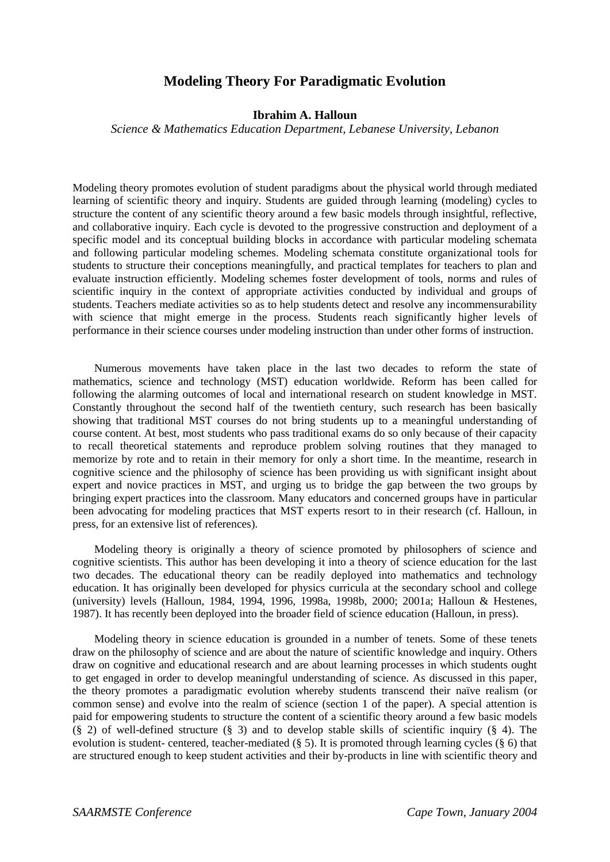# **Modeling Theory For Paradigmatic Evolution**

#### **Ibrahim A. Halloun**

*Science & Mathematics Education Department, Lebanese University, Lebanon*

Modeling theory promotes evolution of student paradigms about the physical world through mediated learning of scientific theory and inquiry. Students are guided through learning (modeling) cycles to structure the content of any scientific theory around a few basic models through insightful, reflective, and collaborative inquiry. Each cycle is devoted to the progressive construction and deployment of a specific model and its conceptual building blocks in accordance with particular modeling schemata and following particular modeling schemes. Modeling schemata constitute organizational tools for students to structure their conceptions meaningfully, and practical templates for teachers to plan and evaluate instruction efficiently. Modeling schemes foster development of tools, norms and rules of scientific inquiry in the context of appropriate activities conducted by individual and groups of students. Teachers mediate activities so as to help students detect and resolve any incommensurability with science that might emerge in the process. Students reach significantly higher levels of performance in their science courses under modeling instruction than under other forms of instruction.

Numerous movements have taken place in the last two decades to reform the state of mathematics, science and technology (MST) education worldwide. Reform has been called for following the alarming outcomes of local and international research on student knowledge in MST. Constantly throughout the second half of the twentieth century, such research has been basically showing that traditional MST courses do not bring students up to a meaningful understanding of course content. At best, most students who pass traditional exams do so only because of their capacity to recall theoretical statements and reproduce problem solving routines that they managed to memorize by rote and to retain in their memory for only a short time. In the meantime, research in cognitive science and the philosophy of science has been providing us with significant insight about expert and novice practices in MST, and urging us to bridge the gap between the two groups by bringing expert practices into the classroom. Many educators and concerned groups have in particular been advocating for modeling practices that MST experts resort to in their research (cf. Halloun, in press, for an extensive list of references).

Modeling theory is originally a theory of science promoted by philosophers of science and cognitive scientists. This author has been developing it into a theory of science education for the last two decades. The educational theory can be readily deployed into mathematics and technology education. It has originally been developed for physics curricula at the secondary school and college (university) levels (Halloun, 1984, 1994, 1996, 1998a, 1998b, 2000; 2001a; Halloun & Hestenes, 1987). It has recently been deployed into the broader field of science education (Halloun, in press).

Modeling theory in science education is grounded in a number of tenets. Some of these tenets draw on the philosophy of science and are about the nature of scientific knowledge and inquiry. Others draw on cognitive and educational research and are about learning processes in which students ought to get engaged in order to develop meaningful understanding of science. As discussed in this paper, the theory promotes a paradigmatic evolution whereby students transcend their naïve realism (or common sense) and evolve into the realm of science (section 1 of the paper). A special attention is paid for empowering students to structure the content of a scientific theory around a few basic models (§ 2) of well-defined structure (§ 3) and to develop stable skills of scientific inquiry (§ 4). The evolution is student- centered, teacher-mediated (§ 5). It is promoted through learning cycles (§ 6) that are structured enough to keep student activities and their by-products in line with scientific theory and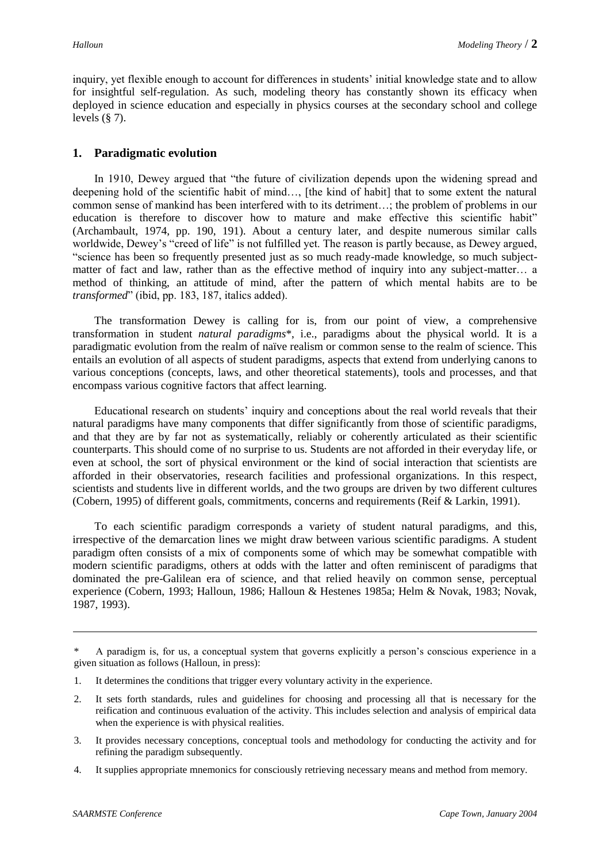inquiry, yet flexible enough to account for differences in students' initial knowledge state and to allow for insightful self-regulation. As such, modeling theory has constantly shown its efficacy when deployed in science education and especially in physics courses at the secondary school and college levels  $(\S 7)$ .

## **1. Paradigmatic evolution**

In 1910, Dewey argued that "the future of civilization depends upon the widening spread and deepening hold of the scientific habit of mind…, [the kind of habit] that to some extent the natural common sense of mankind has been interfered with to its detriment…; the problem of problems in our education is therefore to discover how to mature and make effective this scientific habit" (Archambault, 1974, pp. 190, 191). About a century later, and despite numerous similar calls worldwide, Dewey's "creed of life" is not fulfilled yet. The reason is partly because, as Dewey argued, "science has been so frequently presented just as so much ready-made knowledge, so much subjectmatter of fact and law, rather than as the effective method of inquiry into any subject-matter… a method of thinking, an attitude of mind, after the pattern of which mental habits are to be *transformed*" (ibid, pp. 183, 187, italics added).

The transformation Dewey is calling for is, from our point of view, a comprehensive transformation in student *natural paradigms*\*, i.e., paradigms about the physical world. It is a paradigmatic evolution from the realm of naïve realism or common sense to the realm of science. This entails an evolution of all aspects of student paradigms, aspects that extend from underlying canons to various conceptions (concepts, laws, and other theoretical statements), tools and processes, and that encompass various cognitive factors that affect learning.

Educational research on students' inquiry and conceptions about the real world reveals that their natural paradigms have many components that differ significantly from those of scientific paradigms, and that they are by far not as systematically, reliably or coherently articulated as their scientific counterparts. This should come of no surprise to us. Students are not afforded in their everyday life, or even at school, the sort of physical environment or the kind of social interaction that scientists are afforded in their observatories, research facilities and professional organizations. In this respect, scientists and students live in different worlds, and the two groups are driven by two different cultures (Cobern, 1995) of different goals, commitments, concerns and requirements (Reif & Larkin, 1991).

To each scientific paradigm corresponds a variety of student natural paradigms, and this, irrespective of the demarcation lines we might draw between various scientific paradigms. A student paradigm often consists of a mix of components some of which may be somewhat compatible with modern scientific paradigms, others at odds with the latter and often reminiscent of paradigms that dominated the pre-Galilean era of science, and that relied heavily on common sense, perceptual experience (Cobern, 1993; Halloun, 1986; Halloun & Hestenes 1985a; Helm & Novak, 1983; Novak, 1987, 1993).

- 3. It provides necessary conceptions, conceptual tools and methodology for conducting the activity and for refining the paradigm subsequently.
- 4. It supplies appropriate mnemonics for consciously retrieving necessary means and method from memory.

A paradigm is, for us, a conceptual system that governs explicitly a person's conscious experience in a given situation as follows (Halloun, in press):

<sup>1.</sup> It determines the conditions that trigger every voluntary activity in the experience.

<sup>2.</sup> It sets forth standards, rules and guidelines for choosing and processing all that is necessary for the reification and continuous evaluation of the activity. This includes selection and analysis of empirical data when the experience is with physical realities.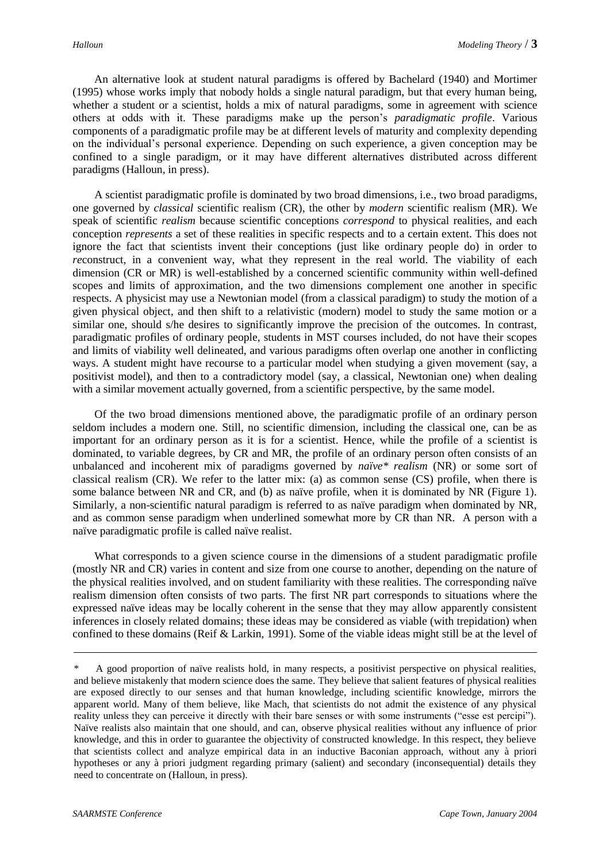An alternative look at student natural paradigms is offered by Bachelard (1940) and Mortimer (1995) whose works imply that nobody holds a single natural paradigm, but that every human being, whether a student or a scientist, holds a mix of natural paradigms, some in agreement with science others at odds with it. These paradigms make up the person's *paradigmatic profile*. Various components of a paradigmatic profile may be at different levels of maturity and complexity depending on the individual's personal experience. Depending on such experience, a given conception may be confined to a single paradigm, or it may have different alternatives distributed across different paradigms (Halloun, in press).

A scientist paradigmatic profile is dominated by two broad dimensions, i.e., two broad paradigms, one governed by *classical* scientific realism (CR), the other by *modern* scientific realism (MR). We speak of scientific *realism* because scientific conceptions *correspond* to physical realities, and each conception *represents* a set of these realities in specific respects and to a certain extent. This does not ignore the fact that scientists invent their conceptions (just like ordinary people do) in order to *reconstruct*, in a convenient way, what they represent in the real world. The viability of each dimension (CR or MR) is well-established by a concerned scientific community within well-defined scopes and limits of approximation, and the two dimensions complement one another in specific respects. A physicist may use a Newtonian model (from a classical paradigm) to study the motion of a given physical object, and then shift to a relativistic (modern) model to study the same motion or a similar one, should s/he desires to significantly improve the precision of the outcomes. In contrast, paradigmatic profiles of ordinary people, students in MST courses included, do not have their scopes and limits of viability well delineated, and various paradigms often overlap one another in conflicting ways. A student might have recourse to a particular model when studying a given movement (say, a positivist model), and then to a contradictory model (say, a classical, Newtonian one) when dealing with a similar movement actually governed, from a scientific perspective, by the same model.

Of the two broad dimensions mentioned above, the paradigmatic profile of an ordinary person seldom includes a modern one. Still, no scientific dimension, including the classical one, can be as important for an ordinary person as it is for a scientist. Hence, while the profile of a scientist is dominated, to variable degrees, by CR and MR, the profile of an ordinary person often consists of an unbalanced and incoherent mix of paradigms governed by *naïve\* realism* (NR) or some sort of classical realism (CR). We refer to the latter mix: (a) as common sense (CS) profile, when there is some balance between NR and CR, and (b) as naïve profile, when it is dominated by NR (Figure 1). Similarly, a non-scientific natural paradigm is referred to as naïve paradigm when dominated by NR, and as common sense paradigm when underlined somewhat more by CR than NR. A person with a naïve paradigmatic profile is called naïve realist.

What corresponds to a given science course in the dimensions of a student paradigmatic profile (mostly NR and CR) varies in content and size from one course to another, depending on the nature of the physical realities involved, and on student familiarity with these realities. The corresponding naïve realism dimension often consists of two parts. The first NR part corresponds to situations where the expressed naïve ideas may be locally coherent in the sense that they may allow apparently consistent inferences in closely related domains; these ideas may be considered as viable (with trepidation) when confined to these domains (Reif & Larkin, 1991). Some of the viable ideas might still be at the level of

A good proportion of naïve realists hold, in many respects, a positivist perspective on physical realities, and believe mistakenly that modern science does the same. They believe that salient features of physical realities are exposed directly to our senses and that human knowledge, including scientific knowledge, mirrors the apparent world. Many of them believe, like Mach, that scientists do not admit the existence of any physical reality unless they can perceive it directly with their bare senses or with some instruments ("esse est percipi"). Naïve realists also maintain that one should, and can, observe physical realities without any influence of prior knowledge, and this in order to guarantee the objectivity of constructed knowledge. In this respect, they believe that scientists collect and analyze empirical data in an inductive Baconian approach, without any à priori hypotheses or any à priori judgment regarding primary (salient) and secondary (inconsequential) details they need to concentrate on (Halloun, in press).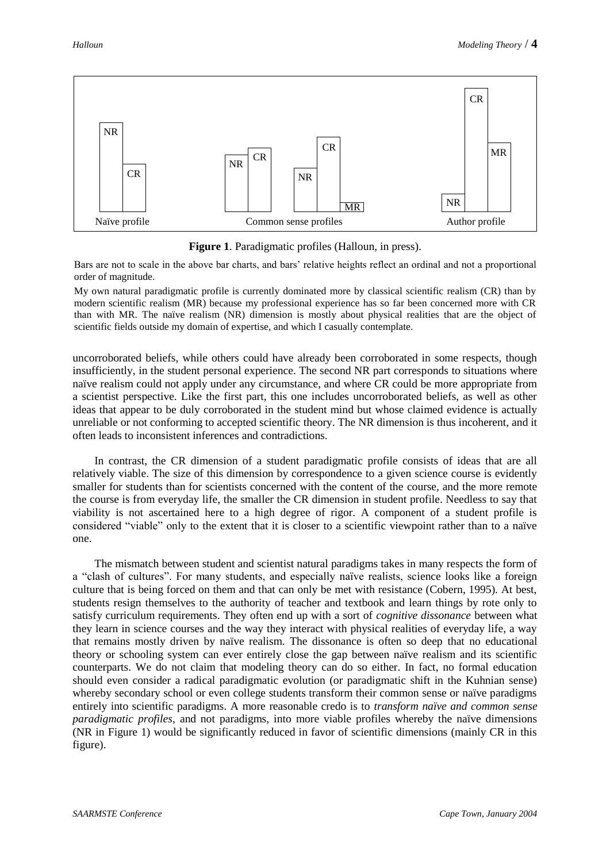

**Figure 1**. Paradigmatic profiles (Halloun, in press).

Bars are not to scale in the above bar charts, and bars' relative heights reflect an ordinal and not a proportional order of magnitude.

My own natural paradigmatic profile is currently dominated more by classical scientific realism (CR) than by modern scientific realism (MR) because my professional experience has so far been concerned more with CR than with MR. The naïve realism (NR) dimension is mostly about physical realities that are the object of scientific fields outside my domain of expertise, and which I casually contemplate.

uncorroborated beliefs, while others could have already been corroborated in some respects, though insufficiently, in the student personal experience. The second NR part corresponds to situations where naïve realism could not apply under any circumstance, and where CR could be more appropriate from a scientist perspective. Like the first part, this one includes uncorroborated beliefs, as well as other ideas that appear to be duly corroborated in the student mind but whose claimed evidence is actually unreliable or not conforming to accepted scientific theory. The NR dimension is thus incoherent, and it often leads to inconsistent inferences and contradictions.

In contrast, the CR dimension of a student paradigmatic profile consists of ideas that are all relatively viable. The size of this dimension by correspondence to a given science course is evidently smaller for students than for scientists concerned with the content of the course, and the more remote the course is from everyday life, the smaller the CR dimension in student profile. Needless to say that viability is not ascertained here to a high degree of rigor. A component of a student profile is considered "viable" only to the extent that it is closer to a scientific viewpoint rather than to a naïve one.

The mismatch between student and scientist natural paradigms takes in many respects the form of a "clash of cultures". For many students, and especially naïve realists, science looks like a foreign culture that is being forced on them and that can only be met with resistance (Cobern, 1995). At best, students resign themselves to the authority of teacher and textbook and learn things by rote only to satisfy curriculum requirements. They often end up with a sort of *cognitive dissonance* between what they learn in science courses and the way they interact with physical realities of everyday life, a way that remains mostly driven by naïve realism. The dissonance is often so deep that no educational theory or schooling system can ever entirely close the gap between naïve realism and its scientific counterparts. We do not claim that modeling theory can do so either. In fact, no formal education should even consider a radical paradigmatic evolution (or paradigmatic shift in the Kuhnian sense) whereby secondary school or even college students transform their common sense or naïve paradigms entirely into scientific paradigms. A more reasonable credo is to *transform naïve and common sense paradigmatic profiles*, and not paradigms, into more viable profiles whereby the naïve dimensions (NR in Figure 1) would be significantly reduced in favor of scientific dimensions (mainly CR in this figure).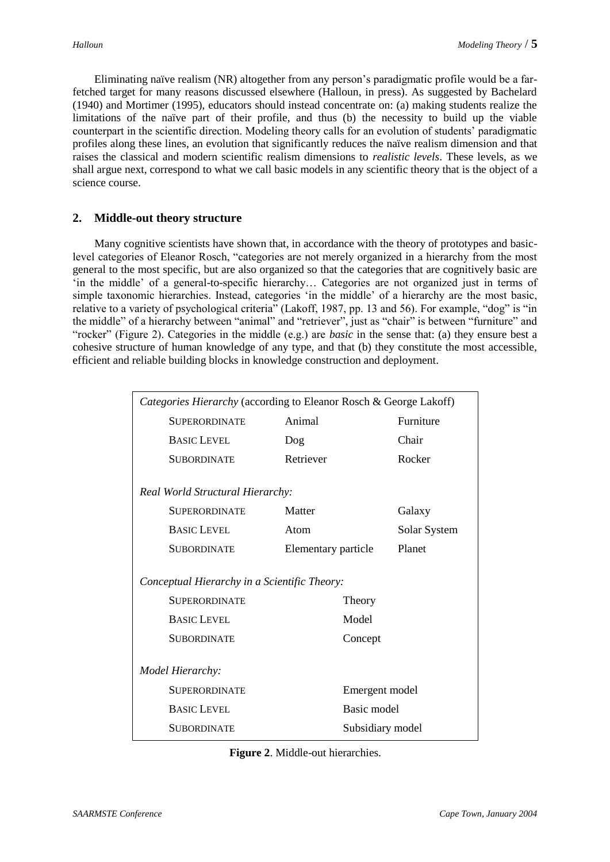Eliminating naïve realism (NR) altogether from any person's paradigmatic profile would be a farfetched target for many reasons discussed elsewhere (Halloun, in press). As suggested by Bachelard (1940) and Mortimer (1995), educators should instead concentrate on: (a) making students realize the limitations of the naïve part of their profile, and thus (b) the necessity to build up the viable counterpart in the scientific direction. Modeling theory calls for an evolution of students' paradigmatic profiles along these lines, an evolution that significantly reduces the naïve realism dimension and that raises the classical and modern scientific realism dimensions to *realistic levels*. These levels, as we shall argue next, correspond to what we call basic models in any scientific theory that is the object of a science course.

## **2. Middle-out theory structure**

Many cognitive scientists have shown that, in accordance with the theory of prototypes and basiclevel categories of Eleanor Rosch, "categories are not merely organized in a hierarchy from the most general to the most specific, but are also organized so that the categories that are cognitively basic are 'in the middle' of a general-to-specific hierarchy… Categories are not organized just in terms of simple taxonomic hierarchies. Instead, categories 'in the middle' of a hierarchy are the most basic, relative to a variety of psychological criteria" (Lakoff, 1987, pp. 13 and 56). For example, "dog" is "in the middle" of a hierarchy between "animal" and "retriever", just as "chair" is between "furniture" and "rocker" (Figure 2). Categories in the middle (e.g.) are *basic* in the sense that: (a) they ensure best a cohesive structure of human knowledge of any type, and that (b) they constitute the most accessible, efficient and reliable building blocks in knowledge construction and deployment.

| Categories Hierarchy (according to Eleanor Rosch & George Lakoff) |                     |                  |              |  |  |  |  |
|-------------------------------------------------------------------|---------------------|------------------|--------------|--|--|--|--|
| <b>SUPERORDINATE</b>                                              | Animal              |                  | Furniture    |  |  |  |  |
| <b>BASIC LEVEL</b>                                                | Dog                 |                  | Chair        |  |  |  |  |
| <b>SUBORDINATE</b>                                                | Retriever           |                  | Rocker       |  |  |  |  |
| Real World Structural Hierarchy:                                  |                     |                  |              |  |  |  |  |
| <b>SUPERORDINATE</b>                                              | Matter              |                  | Galaxy       |  |  |  |  |
| <b>BASIC LEVEL</b>                                                | Atom                |                  | Solar System |  |  |  |  |
| <b>SUBORDINATE</b>                                                | Elementary particle |                  | Planet       |  |  |  |  |
| Conceptual Hierarchy in a Scientific Theory:                      |                     |                  |              |  |  |  |  |
| <b>SUPERORDINATE</b>                                              |                     | Theory           |              |  |  |  |  |
| <b>BASIC LEVEL</b>                                                |                     | Model            |              |  |  |  |  |
| SUBORDINATE                                                       | Concept             |                  |              |  |  |  |  |
| Model Hierarchy:                                                  |                     |                  |              |  |  |  |  |
| <b>SUPERORDINATE</b>                                              |                     | Emergent model   |              |  |  |  |  |
| <b>BASIC LEVEL</b>                                                |                     | Basic model      |              |  |  |  |  |
| <b>SUBORDINATE</b>                                                |                     | Subsidiary model |              |  |  |  |  |

**Figure 2**. Middle-out hierarchies.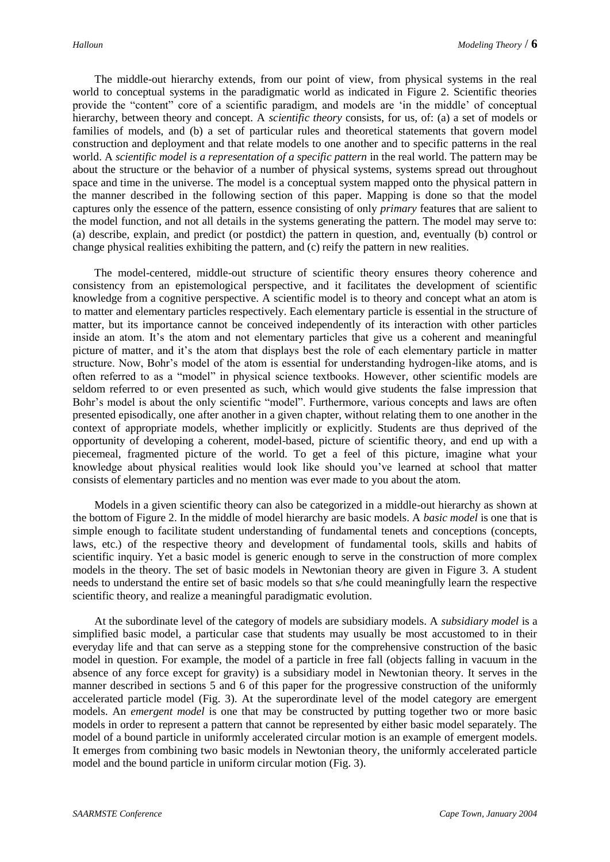The middle-out hierarchy extends, from our point of view, from physical systems in the real world to conceptual systems in the paradigmatic world as indicated in Figure 2. Scientific theories provide the "content" core of a scientific paradigm, and models are 'in the middle' of conceptual hierarchy, between theory and concept. A *scientific theory* consists, for us, of: (a) a set of models or families of models, and (b) a set of particular rules and theoretical statements that govern model construction and deployment and that relate models to one another and to specific patterns in the real world. A *scientific model is a representation of a specific pattern* in the real world. The pattern may be about the structure or the behavior of a number of physical systems, systems spread out throughout space and time in the universe. The model is a conceptual system mapped onto the physical pattern in the manner described in the following section of this paper. Mapping is done so that the model captures only the essence of the pattern, essence consisting of only *primary* features that are salient to the model function, and not all details in the systems generating the pattern. The model may serve to: (a) describe, explain, and predict (or postdict) the pattern in question, and, eventually (b) control or change physical realities exhibiting the pattern, and (c) reify the pattern in new realities.

The model-centered, middle-out structure of scientific theory ensures theory coherence and consistency from an epistemological perspective, and it facilitates the development of scientific knowledge from a cognitive perspective. A scientific model is to theory and concept what an atom is to matter and elementary particles respectively. Each elementary particle is essential in the structure of matter, but its importance cannot be conceived independently of its interaction with other particles inside an atom. It's the atom and not elementary particles that give us a coherent and meaningful picture of matter, and it's the atom that displays best the role of each elementary particle in matter structure. Now, Bohr's model of the atom is essential for understanding hydrogen-like atoms, and is often referred to as a "model" in physical science textbooks. However, other scientific models are seldom referred to or even presented as such, which would give students the false impression that Bohr's model is about the only scientific "model". Furthermore, various concepts and laws are often presented episodically, one after another in a given chapter, without relating them to one another in the context of appropriate models, whether implicitly or explicitly. Students are thus deprived of the opportunity of developing a coherent, model-based, picture of scientific theory, and end up with a piecemeal, fragmented picture of the world. To get a feel of this picture, imagine what your knowledge about physical realities would look like should you've learned at school that matter consists of elementary particles and no mention was ever made to you about the atom.

Models in a given scientific theory can also be categorized in a middle-out hierarchy as shown at the bottom of Figure 2. In the middle of model hierarchy are basic models. A *basic model* is one that is simple enough to facilitate student understanding of fundamental tenets and conceptions (concepts, laws, etc.) of the respective theory and development of fundamental tools, skills and habits of scientific inquiry. Yet a basic model is generic enough to serve in the construction of more complex models in the theory. The set of basic models in Newtonian theory are given in Figure 3. A student needs to understand the entire set of basic models so that s/he could meaningfully learn the respective scientific theory, and realize a meaningful paradigmatic evolution.

At the subordinate level of the category of models are subsidiary models. A *subsidiary model* is a simplified basic model, a particular case that students may usually be most accustomed to in their everyday life and that can serve as a stepping stone for the comprehensive construction of the basic model in question. For example, the model of a particle in free fall (objects falling in vacuum in the absence of any force except for gravity) is a subsidiary model in Newtonian theory. It serves in the manner described in sections 5 and 6 of this paper for the progressive construction of the uniformly accelerated particle model (Fig. 3). At the superordinate level of the model category are emergent models. An *emergent model* is one that may be constructed by putting together two or more basic models in order to represent a pattern that cannot be represented by either basic model separately. The model of a bound particle in uniformly accelerated circular motion is an example of emergent models. It emerges from combining two basic models in Newtonian theory, the uniformly accelerated particle model and the bound particle in uniform circular motion (Fig. 3).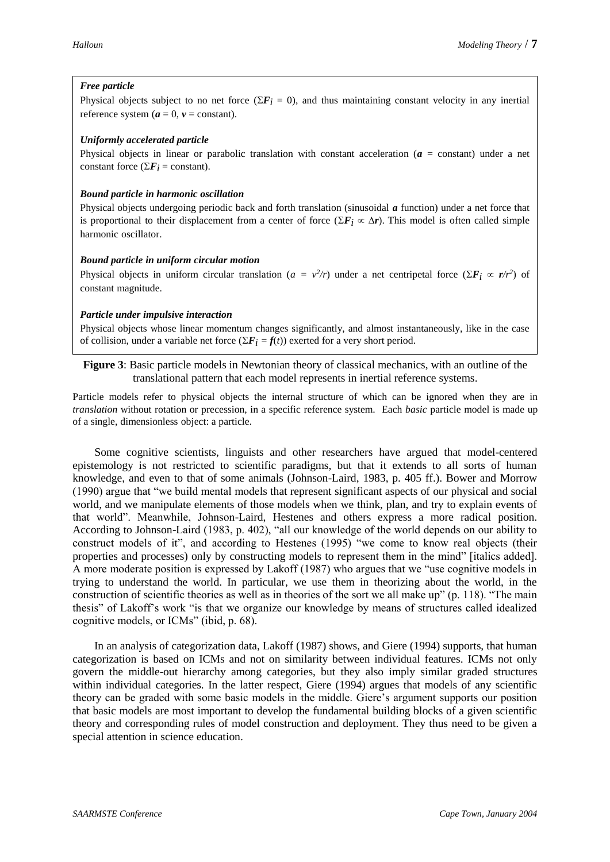### *Free particle*

Physical objects subject to no net force ( $\Sigma F_i = 0$ ), and thus maintaining constant velocity in any inertial reference system  $(a = 0, v = constant)$ .

#### *Uniformly accelerated particle*

Physical objects in linear or parabolic translation with constant acceleration (*a* = constant) under a net constant force ( $\Sigma F_i$  = constant).

#### *Bound particle in harmonic oscillation*

Physical objects undergoing periodic back and forth translation (sinusoidal *a* function) under a net force that is proportional to their displacement from a center of force  $(\Sigma F_i \propto \Delta r)$ . This model is often called simple harmonic oscillator.

#### *Bound particle in uniform circular motion*

Physical objects in uniform circular translation ( $a = v^2/r$ ) under a net centripetal force ( $\Sigma F_i \propto r/r^2$ ) of constant magnitude.

#### *Particle under impulsive interaction*

Physical objects whose linear momentum changes significantly, and almost instantaneously, like in the case of collision, under a variable net force  $(\Sigma F_i = f(t))$  exerted for a very short period.

**Figure 3**: Basic particle models in Newtonian theory of classical mechanics, with an outline of the translational pattern that each model represents in inertial reference systems.

Particle models refer to physical objects the internal structure of which can be ignored when they are in *translation* without rotation or precession, in a specific reference system. Each *basic* particle model is made up of a single, dimensionless object: a particle.

Some cognitive scientists, linguists and other researchers have argued that model-centered epistemology is not restricted to scientific paradigms, but that it extends to all sorts of human knowledge, and even to that of some animals (Johnson-Laird, 1983, p. 405 ff.). Bower and Morrow (1990) argue that "we build mental models that represent significant aspects of our physical and social world, and we manipulate elements of those models when we think, plan, and try to explain events of that world". Meanwhile, Johnson-Laird, Hestenes and others express a more radical position. According to Johnson-Laird (1983, p. 402), "all our knowledge of the world depends on our ability to construct models of it", and according to Hestenes (1995) "we come to know real objects (their properties and processes) only by constructing models to represent them in the mind" [italics added]. A more moderate position is expressed by Lakoff (1987) who argues that we "use cognitive models in trying to understand the world. In particular, we use them in theorizing about the world, in the construction of scientific theories as well as in theories of the sort we all make up" (p. 118). "The main thesis" of Lakoff's work "is that we organize our knowledge by means of structures called idealized cognitive models, or ICMs" (ibid, p. 68).

In an analysis of categorization data, Lakoff (1987) shows, and Giere (1994) supports, that human categorization is based on ICMs and not on similarity between individual features. ICMs not only govern the middle-out hierarchy among categories, but they also imply similar graded structures within individual categories. In the latter respect, Giere (1994) argues that models of any scientific theory can be graded with some basic models in the middle. Giere's argument supports our position that basic models are most important to develop the fundamental building blocks of a given scientific theory and corresponding rules of model construction and deployment. They thus need to be given a special attention in science education.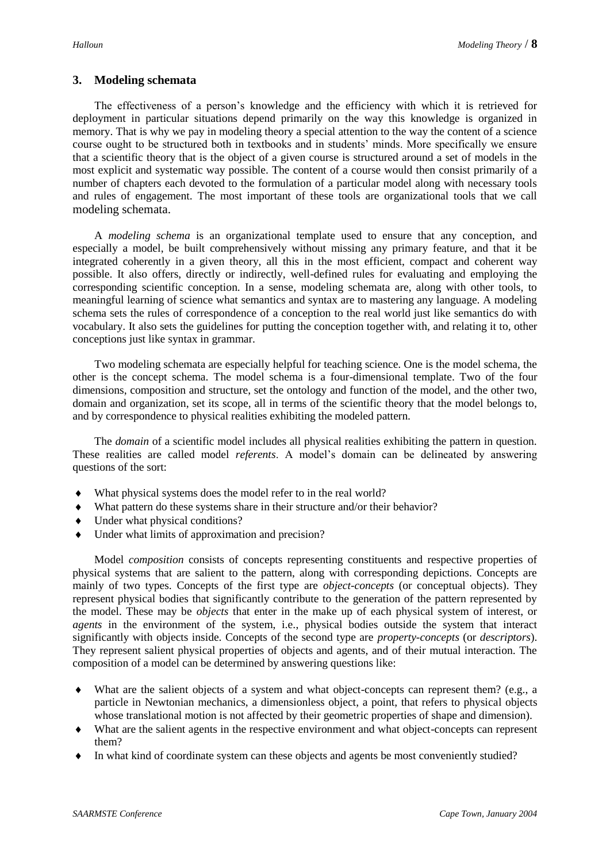## **3. Modeling schemata**

The effectiveness of a person's knowledge and the efficiency with which it is retrieved for deployment in particular situations depend primarily on the way this knowledge is organized in memory. That is why we pay in modeling theory a special attention to the way the content of a science course ought to be structured both in textbooks and in students' minds. More specifically we ensure that a scientific theory that is the object of a given course is structured around a set of models in the most explicit and systematic way possible. The content of a course would then consist primarily of a number of chapters each devoted to the formulation of a particular model along with necessary tools and rules of engagement. The most important of these tools are organizational tools that we call modeling schemata.

A *modeling schema* is an organizational template used to ensure that any conception, and especially a model, be built comprehensively without missing any primary feature, and that it be integrated coherently in a given theory, all this in the most efficient, compact and coherent way possible. It also offers, directly or indirectly, well-defined rules for evaluating and employing the corresponding scientific conception. In a sense, modeling schemata are, along with other tools, to meaningful learning of science what semantics and syntax are to mastering any language. A modeling schema sets the rules of correspondence of a conception to the real world just like semantics do with vocabulary. It also sets the guidelines for putting the conception together with, and relating it to, other conceptions just like syntax in grammar.

Two modeling schemata are especially helpful for teaching science. One is the model schema, the other is the concept schema. The model schema is a four-dimensional template. Two of the four dimensions, composition and structure, set the ontology and function of the model, and the other two, domain and organization, set its scope, all in terms of the scientific theory that the model belongs to, and by correspondence to physical realities exhibiting the modeled pattern.

The *domain* of a scientific model includes all physical realities exhibiting the pattern in question. These realities are called model *referents*. A model's domain can be delineated by answering questions of the sort:

- What physical systems does the model refer to in the real world?
- What pattern do these systems share in their structure and/or their behavior?
- Under what physical conditions?
- Under what limits of approximation and precision?

Model *composition* consists of concepts representing constituents and respective properties of physical systems that are salient to the pattern, along with corresponding depictions. Concepts are mainly of two types. Concepts of the first type are *object-concepts* (or conceptual objects). They represent physical bodies that significantly contribute to the generation of the pattern represented by the model. These may be *objects* that enter in the make up of each physical system of interest, or *agents* in the environment of the system, i.e., physical bodies outside the system that interact significantly with objects inside. Concepts of the second type are *property-concepts* (or *descriptors*). They represent salient physical properties of objects and agents, and of their mutual interaction. The composition of a model can be determined by answering questions like:

- $\blacklozenge$  What are the salient objects of a system and what object-concepts can represent them? (e.g., a particle in Newtonian mechanics, a dimensionless object, a point, that refers to physical objects whose translational motion is not affected by their geometric properties of shape and dimension).
- What are the salient agents in the respective environment and what object-concepts can represent them?
- In what kind of coordinate system can these objects and agents be most conveniently studied?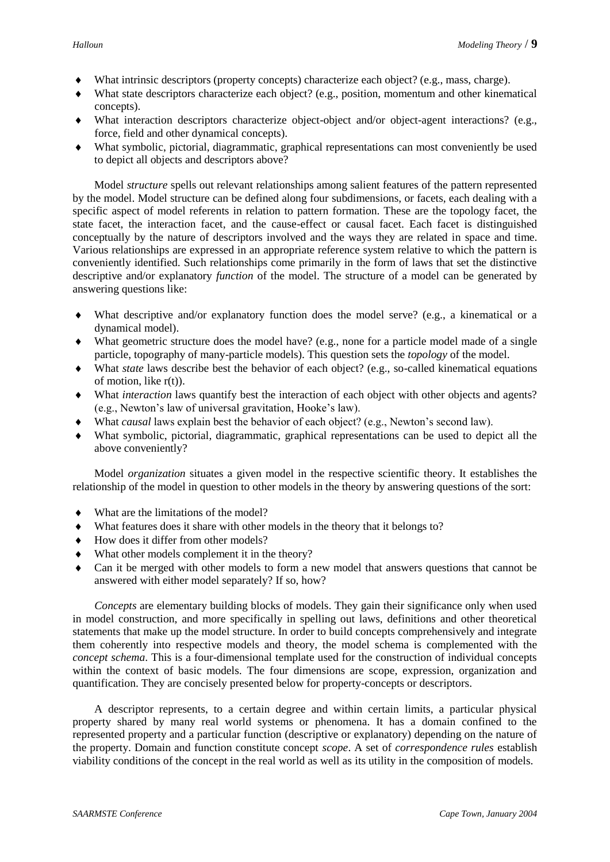- $\blacklozenge$  What intrinsic descriptors (property concepts) characterize each object? (e.g., mass, charge).
- What state descriptors characterize each object? (e.g., position, momentum and other kinematical concepts).
- What interaction descriptors characterize object-object and/or object-agent interactions? (e.g., force, field and other dynamical concepts).
- What symbolic, pictorial, diagrammatic, graphical representations can most conveniently be used to depict all objects and descriptors above?

Model *structure* spells out relevant relationships among salient features of the pattern represented by the model. Model structure can be defined along four subdimensions, or facets, each dealing with a specific aspect of model referents in relation to pattern formation. These are the topology facet, the state facet, the interaction facet, and the cause-effect or causal facet. Each facet is distinguished conceptually by the nature of descriptors involved and the ways they are related in space and time. Various relationships are expressed in an appropriate reference system relative to which the pattern is conveniently identified. Such relationships come primarily in the form of laws that set the distinctive descriptive and/or explanatory *function* of the model. The structure of a model can be generated by answering questions like:

- What descriptive and/or explanatory function does the model serve? (e.g., a kinematical or a dynamical model).
- What geometric structure does the model have? (e.g., none for a particle model made of a single particle, topography of many-particle models). This question sets the *topology* of the model.
- What *state* laws describe best the behavior of each object? (e.g., so-called kinematical equations of motion, like r(t)).
- What *interaction* laws quantify best the interaction of each object with other objects and agents? (e.g., Newton's law of universal gravitation, Hooke's law).
- What *causal* laws explain best the behavior of each object? (e.g., Newton's second law).
- What symbolic, pictorial, diagrammatic, graphical representations can be used to depict all the above conveniently?

Model *organization* situates a given model in the respective scientific theory. It establishes the relationship of the model in question to other models in the theory by answering questions of the sort:

- What are the limitations of the model?
- What features does it share with other models in the theory that it belongs to?
- $\bullet$  How does it differ from other models?
- What other models complement it in the theory?
- Can it be merged with other models to form a new model that answers questions that cannot be answered with either model separately? If so, how?

*Concepts* are elementary building blocks of models. They gain their significance only when used in model construction, and more specifically in spelling out laws, definitions and other theoretical statements that make up the model structure. In order to build concepts comprehensively and integrate them coherently into respective models and theory, the model schema is complemented with the *concept schema*. This is a four-dimensional template used for the construction of individual concepts within the context of basic models. The four dimensions are scope, expression, organization and quantification. They are concisely presented below for property-concepts or descriptors.

A descriptor represents, to a certain degree and within certain limits, a particular physical property shared by many real world systems or phenomena. It has a domain confined to the represented property and a particular function (descriptive or explanatory) depending on the nature of the property. Domain and function constitute concept *scope*. A set of *correspondence rules* establish viability conditions of the concept in the real world as well as its utility in the composition of models.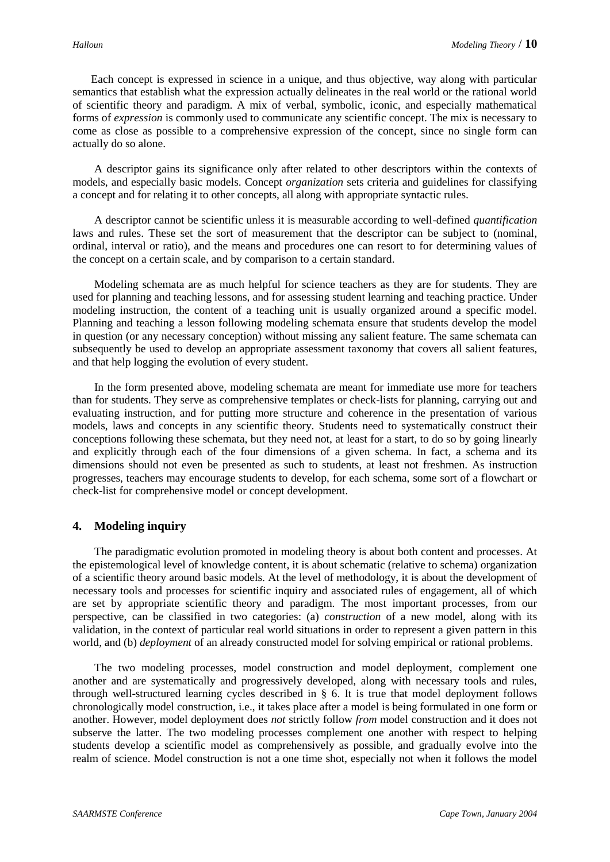Each concept is expressed in science in a unique, and thus objective, way along with particular semantics that establish what the expression actually delineates in the real world or the rational world of scientific theory and paradigm. A mix of verbal, symbolic, iconic, and especially mathematical forms of *expression* is commonly used to communicate any scientific concept. The mix is necessary to come as close as possible to a comprehensive expression of the concept, since no single form can actually do so alone.

A descriptor gains its significance only after related to other descriptors within the contexts of models, and especially basic models. Concept *organization* sets criteria and guidelines for classifying a concept and for relating it to other concepts, all along with appropriate syntactic rules.

A descriptor cannot be scientific unless it is measurable according to well-defined *quantification* laws and rules. These set the sort of measurement that the descriptor can be subject to (nominal, ordinal, interval or ratio), and the means and procedures one can resort to for determining values of the concept on a certain scale, and by comparison to a certain standard.

Modeling schemata are as much helpful for science teachers as they are for students. They are used for planning and teaching lessons, and for assessing student learning and teaching practice. Under modeling instruction, the content of a teaching unit is usually organized around a specific model. Planning and teaching a lesson following modeling schemata ensure that students develop the model in question (or any necessary conception) without missing any salient feature. The same schemata can subsequently be used to develop an appropriate assessment taxonomy that covers all salient features, and that help logging the evolution of every student.

In the form presented above, modeling schemata are meant for immediate use more for teachers than for students. They serve as comprehensive templates or check-lists for planning, carrying out and evaluating instruction, and for putting more structure and coherence in the presentation of various models, laws and concepts in any scientific theory. Students need to systematically construct their conceptions following these schemata, but they need not, at least for a start, to do so by going linearly and explicitly through each of the four dimensions of a given schema. In fact, a schema and its dimensions should not even be presented as such to students, at least not freshmen. As instruction progresses, teachers may encourage students to develop, for each schema, some sort of a flowchart or check-list for comprehensive model or concept development.

## **4. Modeling inquiry**

The paradigmatic evolution promoted in modeling theory is about both content and processes. At the epistemological level of knowledge content, it is about schematic (relative to schema) organization of a scientific theory around basic models. At the level of methodology, it is about the development of necessary tools and processes for scientific inquiry and associated rules of engagement, all of which are set by appropriate scientific theory and paradigm. The most important processes, from our perspective, can be classified in two categories: (a) *construction* of a new model, along with its validation, in the context of particular real world situations in order to represent a given pattern in this world, and (b) *deployment* of an already constructed model for solving empirical or rational problems.

The two modeling processes, model construction and model deployment, complement one another and are systematically and progressively developed, along with necessary tools and rules, through well-structured learning cycles described in § 6. It is true that model deployment follows chronologically model construction, i.e., it takes place after a model is being formulated in one form or another. However, model deployment does *not* strictly follow *from* model construction and it does not subserve the latter. The two modeling processes complement one another with respect to helping students develop a scientific model as comprehensively as possible, and gradually evolve into the realm of science. Model construction is not a one time shot, especially not when it follows the model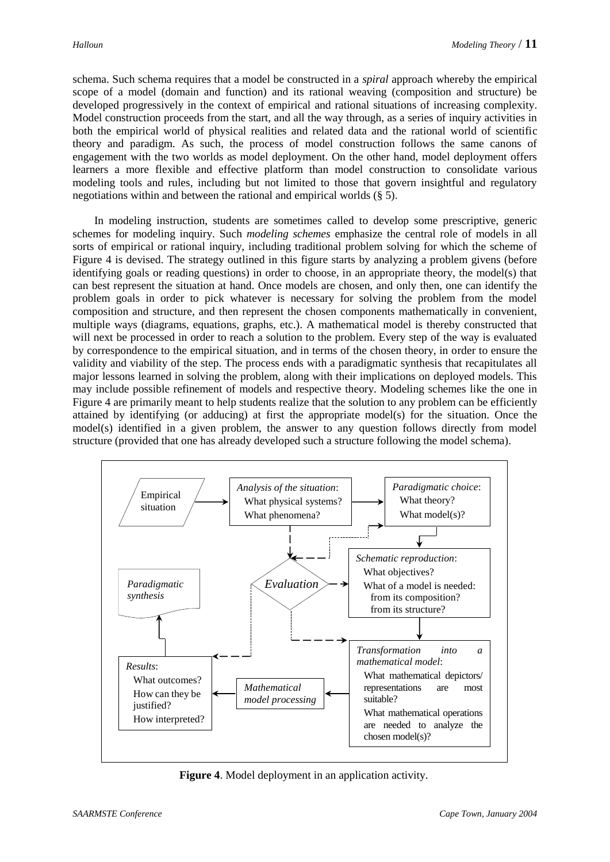schema. Such schema requires that a model be constructed in a *spiral* approach whereby the empirical scope of a model (domain and function) and its rational weaving (composition and structure) be developed progressively in the context of empirical and rational situations of increasing complexity. Model construction proceeds from the start, and all the way through, as a series of inquiry activities in both the empirical world of physical realities and related data and the rational world of scientific theory and paradigm. As such, the process of model construction follows the same canons of engagement with the two worlds as model deployment. On the other hand, model deployment offers learners a more flexible and effective platform than model construction to consolidate various modeling tools and rules, including but not limited to those that govern insightful and regulatory negotiations within and between the rational and empirical worlds (§ 5).

In modeling instruction, students are sometimes called to develop some prescriptive, generic schemes for modeling inquiry. Such *modeling schemes* emphasize the central role of models in all sorts of empirical or rational inquiry, including traditional problem solving for which the scheme of Figure 4 is devised. The strategy outlined in this figure starts by analyzing a problem givens (before identifying goals or reading questions) in order to choose, in an appropriate theory, the model(s) that can best represent the situation at hand. Once models are chosen, and only then, one can identify the problem goals in order to pick whatever is necessary for solving the problem from the model composition and structure, and then represent the chosen components mathematically in convenient, multiple ways (diagrams, equations, graphs, etc.). A mathematical model is thereby constructed that will next be processed in order to reach a solution to the problem. Every step of the way is evaluated by correspondence to the empirical situation, and in terms of the chosen theory, in order to ensure the validity and viability of the step. The process ends with a paradigmatic synthesis that recapitulates all major lessons learned in solving the problem, along with their implications on deployed models. This may include possible refinement of models and respective theory. Modeling schemes like the one in Figure 4 are primarily meant to help students realize that the solution to any problem can be efficiently attained by identifying (or adducing) at first the appropriate model(s) for the situation. Once the model(s) identified in a given problem, the answer to any question follows directly from model structure (provided that one has already developed such a structure following the model schema).



**Figure 4**. Model deployment in an application activity.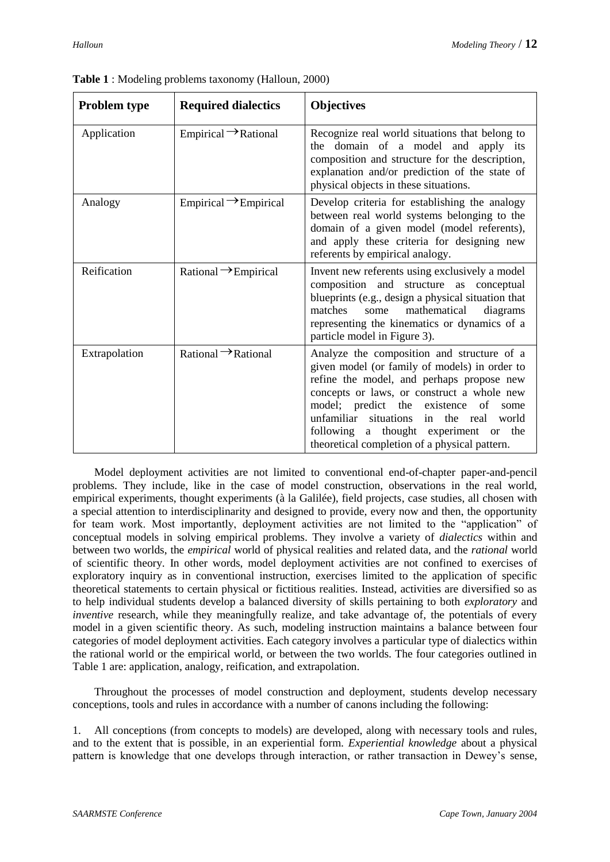| <b>Problem type</b> | <b>Required dialectics</b>        | <b>Objectives</b>                                                                                                                                                                                                                                                                                                                                                                        |  |  |
|---------------------|-----------------------------------|------------------------------------------------------------------------------------------------------------------------------------------------------------------------------------------------------------------------------------------------------------------------------------------------------------------------------------------------------------------------------------------|--|--|
| Application         | Empirical $\rightarrow$ Rational  | Recognize real world situations that belong to<br>the domain of a model and apply its<br>composition and structure for the description,<br>explanation and/or prediction of the state of<br>physical objects in these situations.                                                                                                                                                        |  |  |
| Analogy             | Empirical $\rightarrow$ Empirical | Develop criteria for establishing the analogy<br>between real world systems belonging to the<br>domain of a given model (model referents),<br>and apply these criteria for designing new<br>referents by empirical analogy.                                                                                                                                                              |  |  |
| Reification         | Rational $\rightarrow$ Empirical  | Invent new referents using exclusively a model<br>composition and structure as conceptual<br>blueprints (e.g., design a physical situation that<br>matches<br>mathematical<br>diagrams<br>some<br>representing the kinematics or dynamics of a<br>particle model in Figure 3).                                                                                                           |  |  |
| Extrapolation       | Rational $\rightarrow$ Rational   | Analyze the composition and structure of a<br>given model (or family of models) in order to<br>refine the model, and perhaps propose new<br>concepts or laws, or construct a whole new<br>model; predict the existence<br>of<br>some<br>unfamiliar<br>situations<br>the real<br>in<br>world<br>following a thought experiment or<br>the<br>theoretical completion of a physical pattern. |  |  |

|  | <b>Table 1</b> : Modeling problems taxonomy (Halloun, 2000) |  |
|--|-------------------------------------------------------------|--|
|  |                                                             |  |

Model deployment activities are not limited to conventional end-of-chapter paper-and-pencil problems. They include, like in the case of model construction, observations in the real world, empirical experiments, thought experiments (à la Galilée), field projects, case studies, all chosen with a special attention to interdisciplinarity and designed to provide, every now and then, the opportunity for team work. Most importantly, deployment activities are not limited to the "application" of conceptual models in solving empirical problems. They involve a variety of *dialectics* within and between two worlds, the *empirical* world of physical realities and related data, and the *rational* world of scientific theory. In other words, model deployment activities are not confined to exercises of exploratory inquiry as in conventional instruction, exercises limited to the application of specific theoretical statements to certain physical or fictitious realities. Instead, activities are diversified so as to help individual students develop a balanced diversity of skills pertaining to both *exploratory* and *inventive* research, while they meaningfully realize, and take advantage of, the potentials of every model in a given scientific theory. As such, modeling instruction maintains a balance between four categories of model deployment activities. Each category involves a particular type of dialectics within the rational world or the empirical world, or between the two worlds. The four categories outlined in Table 1 are: application, analogy, reification, and extrapolation.

Throughout the processes of model construction and deployment, students develop necessary conceptions, tools and rules in accordance with a number of canons including the following:

1. All conceptions (from concepts to models) are developed, along with necessary tools and rules, and to the extent that is possible, in an experiential form. *Experiential knowledge* about a physical pattern is knowledge that one develops through interaction, or rather transaction in Dewey's sense,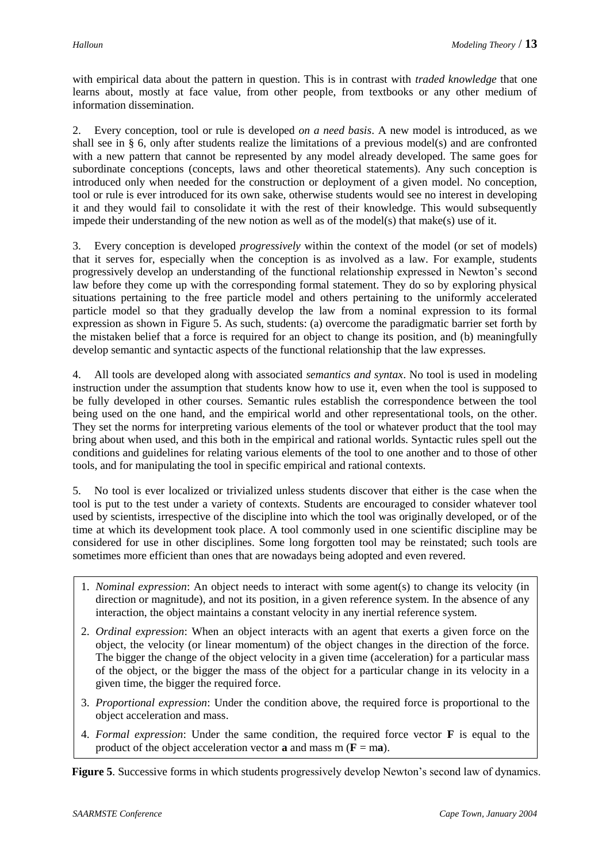with empirical data about the pattern in question. This is in contrast with *traded knowledge* that one learns about, mostly at face value, from other people, from textbooks or any other medium of information dissemination.

2. Every conception, tool or rule is developed *on a need basis*. A new model is introduced, as we shall see in § 6, only after students realize the limitations of a previous model(s) and are confronted with a new pattern that cannot be represented by any model already developed. The same goes for subordinate conceptions (concepts, laws and other theoretical statements). Any such conception is introduced only when needed for the construction or deployment of a given model. No conception, tool or rule is ever introduced for its own sake, otherwise students would see no interest in developing it and they would fail to consolidate it with the rest of their knowledge. This would subsequently impede their understanding of the new notion as well as of the model(s) that make(s) use of it.

3. Every conception is developed *progressively* within the context of the model (or set of models) that it serves for, especially when the conception is as involved as a law. For example, students progressively develop an understanding of the functional relationship expressed in Newton's second law before they come up with the corresponding formal statement. They do so by exploring physical situations pertaining to the free particle model and others pertaining to the uniformly accelerated particle model so that they gradually develop the law from a nominal expression to its formal expression as shown in Figure 5. As such, students: (a) overcome the paradigmatic barrier set forth by the mistaken belief that a force is required for an object to change its position, and (b) meaningfully develop semantic and syntactic aspects of the functional relationship that the law expresses.

4. All tools are developed along with associated *semantics and syntax*. No tool is used in modeling instruction under the assumption that students know how to use it, even when the tool is supposed to be fully developed in other courses. Semantic rules establish the correspondence between the tool being used on the one hand, and the empirical world and other representational tools, on the other. They set the norms for interpreting various elements of the tool or whatever product that the tool may bring about when used, and this both in the empirical and rational worlds. Syntactic rules spell out the conditions and guidelines for relating various elements of the tool to one another and to those of other tools, and for manipulating the tool in specific empirical and rational contexts.

5. No tool is ever localized or trivialized unless students discover that either is the case when the tool is put to the test under a variety of contexts. Students are encouraged to consider whatever tool used by scientists, irrespective of the discipline into which the tool was originally developed, or of the time at which its development took place. A tool commonly used in one scientific discipline may be considered for use in other disciplines. Some long forgotten tool may be reinstated; such tools are sometimes more efficient than ones that are nowadays being adopted and even revered.

- 1. *Nominal expression*: An object needs to interact with some agent(s) to change its velocity (in direction or magnitude), and not its position, in a given reference system. In the absence of any interaction, the object maintains a constant velocity in any inertial reference system.
- 2. *Ordinal expression*: When an object interacts with an agent that exerts a given force on the object, the velocity (or linear momentum) of the object changes in the direction of the force. The bigger the change of the object velocity in a given time (acceleration) for a particular mass of the object, or the bigger the mass of the object for a particular change in its velocity in a given time, the bigger the required force.
- 3. *Proportional expression*: Under the condition above, the required force is proportional to the object acceleration and mass.
- 4. *Formal expression*: Under the same condition, the required force vector **F** is equal to the product of the object acceleration vector **a** and mass m ( $\mathbf{F} = \text{ma}$ ).

**Figure 5**. Successive forms in which students progressively develop Newton's second law of dynamics.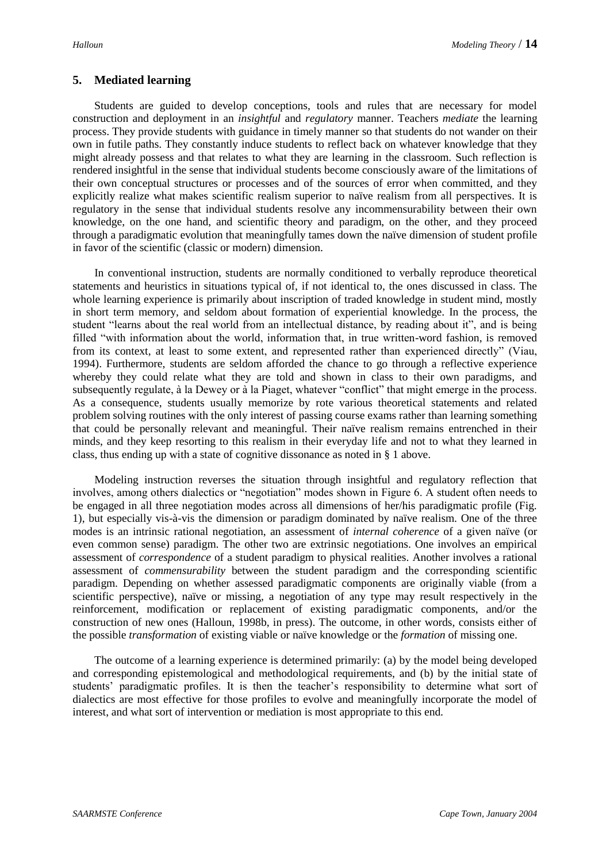## **5. Mediated learning**

Students are guided to develop conceptions, tools and rules that are necessary for model construction and deployment in an *insightful* and *regulatory* manner. Teachers *mediate* the learning process. They provide students with guidance in timely manner so that students do not wander on their own in futile paths. They constantly induce students to reflect back on whatever knowledge that they might already possess and that relates to what they are learning in the classroom. Such reflection is rendered insightful in the sense that individual students become consciously aware of the limitations of their own conceptual structures or processes and of the sources of error when committed, and they explicitly realize what makes scientific realism superior to naïve realism from all perspectives. It is regulatory in the sense that individual students resolve any incommensurability between their own knowledge, on the one hand, and scientific theory and paradigm, on the other, and they proceed through a paradigmatic evolution that meaningfully tames down the naïve dimension of student profile in favor of the scientific (classic or modern) dimension.

In conventional instruction, students are normally conditioned to verbally reproduce theoretical statements and heuristics in situations typical of, if not identical to, the ones discussed in class. The whole learning experience is primarily about inscription of traded knowledge in student mind, mostly in short term memory, and seldom about formation of experiential knowledge. In the process, the student "learns about the real world from an intellectual distance, by reading about it", and is being filled "with information about the world, information that, in true written-word fashion, is removed from its context, at least to some extent, and represented rather than experienced directly" (Viau, 1994). Furthermore, students are seldom afforded the chance to go through a reflective experience whereby they could relate what they are told and shown in class to their own paradigms, and subsequently regulate, à la Dewey or à la Piaget, whatever "conflict" that might emerge in the process. As a consequence, students usually memorize by rote various theoretical statements and related problem solving routines with the only interest of passing course exams rather than learning something that could be personally relevant and meaningful. Their naïve realism remains entrenched in their minds, and they keep resorting to this realism in their everyday life and not to what they learned in class, thus ending up with a state of cognitive dissonance as noted in § 1 above.

Modeling instruction reverses the situation through insightful and regulatory reflection that involves, among others dialectics or "negotiation" modes shown in Figure 6. A student often needs to be engaged in all three negotiation modes across all dimensions of her/his paradigmatic profile (Fig. 1), but especially vis-à-vis the dimension or paradigm dominated by naïve realism. One of the three modes is an intrinsic rational negotiation, an assessment of *internal coherence* of a given naïve (or even common sense) paradigm. The other two are extrinsic negotiations. One involves an empirical assessment of *correspondence* of a student paradigm to physical realities. Another involves a rational assessment of *commensurability* between the student paradigm and the corresponding scientific paradigm. Depending on whether assessed paradigmatic components are originally viable (from a scientific perspective), naïve or missing, a negotiation of any type may result respectively in the reinforcement, modification or replacement of existing paradigmatic components, and/or the construction of new ones (Halloun, 1998b, in press). The outcome, in other words, consists either of the possible *transformation* of existing viable or naïve knowledge or the *formation* of missing one.

The outcome of a learning experience is determined primarily: (a) by the model being developed and corresponding epistemological and methodological requirements, and (b) by the initial state of students' paradigmatic profiles. It is then the teacher's responsibility to determine what sort of dialectics are most effective for those profiles to evolve and meaningfully incorporate the model of interest, and what sort of intervention or mediation is most appropriate to this end.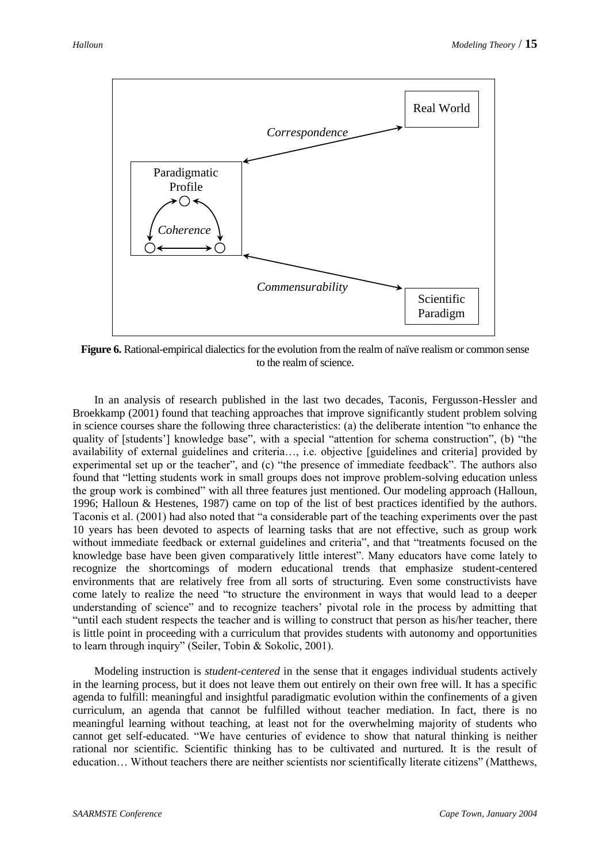

**Figure 6.** Rational-empirical dialectics for the evolution from the realm of naïve realism or common sense to the realm of science.

In an analysis of research published in the last two decades, Taconis, Fergusson-Hessler and Broekkamp (2001) found that teaching approaches that improve significantly student problem solving in science courses share the following three characteristics: (a) the deliberate intention "to enhance the quality of [students'] knowledge base", with a special "attention for schema construction", (b) "the availability of external guidelines and criteria…, i.e. objective [guidelines and criteria] provided by experimental set up or the teacher", and (c) "the presence of immediate feedback". The authors also found that "letting students work in small groups does not improve problem-solving education unless the group work is combined" with all three features just mentioned. Our modeling approach (Halloun, 1996; Halloun & Hestenes, 1987) came on top of the list of best practices identified by the authors. Taconis et al. (2001) had also noted that "a considerable part of the teaching experiments over the past 10 years has been devoted to aspects of learning tasks that are not effective, such as group work without immediate feedback or external guidelines and criteria", and that "treatments focused on the knowledge base have been given comparatively little interest". Many educators have come lately to recognize the shortcomings of modern educational trends that emphasize student-centered environments that are relatively free from all sorts of structuring. Even some constructivists have come lately to realize the need "to structure the environment in ways that would lead to a deeper understanding of science" and to recognize teachers' pivotal role in the process by admitting that "until each student respects the teacher and is willing to construct that person as his/her teacher, there is little point in proceeding with a curriculum that provides students with autonomy and opportunities to learn through inquiry" (Seiler, Tobin & Sokolic, 2001).

Modeling instruction is *student-centered* in the sense that it engages individual students actively in the learning process, but it does not leave them out entirely on their own free will. It has a specific agenda to fulfill: meaningful and insightful paradigmatic evolution within the confinements of a given curriculum, an agenda that cannot be fulfilled without teacher mediation. In fact, there is no meaningful learning without teaching, at least not for the overwhelming majority of students who cannot get self-educated. "We have centuries of evidence to show that natural thinking is neither rational nor scientific. Scientific thinking has to be cultivated and nurtured. It is the result of education… Without teachers there are neither scientists nor scientifically literate citizens" (Matthews,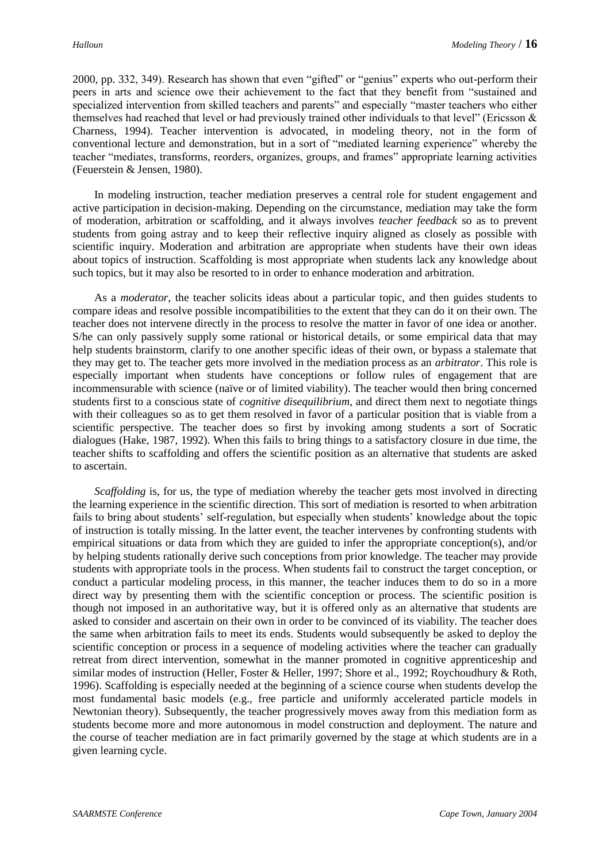2000, pp. 332, 349). Research has shown that even "gifted" or "genius" experts who out-perform their peers in arts and science owe their achievement to the fact that they benefit from "sustained and specialized intervention from skilled teachers and parents" and especially "master teachers who either themselves had reached that level or had previously trained other individuals to that level" (Ericsson & Charness, 1994). Teacher intervention is advocated, in modeling theory, not in the form of conventional lecture and demonstration, but in a sort of "mediated learning experience" whereby the teacher "mediates, transforms, reorders, organizes, groups, and frames" appropriate learning activities (Feuerstein & Jensen, 1980).

In modeling instruction, teacher mediation preserves a central role for student engagement and active participation in decision-making. Depending on the circumstance, mediation may take the form of moderation, arbitration or scaffolding, and it always involves *teacher feedback* so as to prevent students from going astray and to keep their reflective inquiry aligned as closely as possible with scientific inquiry. Moderation and arbitration are appropriate when students have their own ideas about topics of instruction. Scaffolding is most appropriate when students lack any knowledge about such topics, but it may also be resorted to in order to enhance moderation and arbitration.

As a *moderator*, the teacher solicits ideas about a particular topic, and then guides students to compare ideas and resolve possible incompatibilities to the extent that they can do it on their own. The teacher does not intervene directly in the process to resolve the matter in favor of one idea or another. S/he can only passively supply some rational or historical details, or some empirical data that may help students brainstorm, clarify to one another specific ideas of their own, or bypass a stalemate that they may get to. The teacher gets more involved in the mediation process as an *arbitrator*. This role is especially important when students have conceptions or follow rules of engagement that are incommensurable with science (naïve or of limited viability). The teacher would then bring concerned students first to a conscious state of *cognitive disequilibrium*, and direct them next to negotiate things with their colleagues so as to get them resolved in favor of a particular position that is viable from a scientific perspective. The teacher does so first by invoking among students a sort of Socratic dialogues (Hake, 1987, 1992). When this fails to bring things to a satisfactory closure in due time, the teacher shifts to scaffolding and offers the scientific position as an alternative that students are asked to ascertain.

*Scaffolding* is, for us, the type of mediation whereby the teacher gets most involved in directing the learning experience in the scientific direction. This sort of mediation is resorted to when arbitration fails to bring about students' self-regulation, but especially when students' knowledge about the topic of instruction is totally missing. In the latter event, the teacher intervenes by confronting students with empirical situations or data from which they are guided to infer the appropriate conception(s), and/or by helping students rationally derive such conceptions from prior knowledge. The teacher may provide students with appropriate tools in the process. When students fail to construct the target conception, or conduct a particular modeling process, in this manner, the teacher induces them to do so in a more direct way by presenting them with the scientific conception or process. The scientific position is though not imposed in an authoritative way, but it is offered only as an alternative that students are asked to consider and ascertain on their own in order to be convinced of its viability. The teacher does the same when arbitration fails to meet its ends. Students would subsequently be asked to deploy the scientific conception or process in a sequence of modeling activities where the teacher can gradually retreat from direct intervention, somewhat in the manner promoted in cognitive apprenticeship and similar modes of instruction (Heller, Foster & Heller, 1997; Shore et al., 1992; Roychoudhury & Roth, 1996). Scaffolding is especially needed at the beginning of a science course when students develop the most fundamental basic models (e.g., free particle and uniformly accelerated particle models in Newtonian theory). Subsequently, the teacher progressively moves away from this mediation form as students become more and more autonomous in model construction and deployment. The nature and the course of teacher mediation are in fact primarily governed by the stage at which students are in a given learning cycle.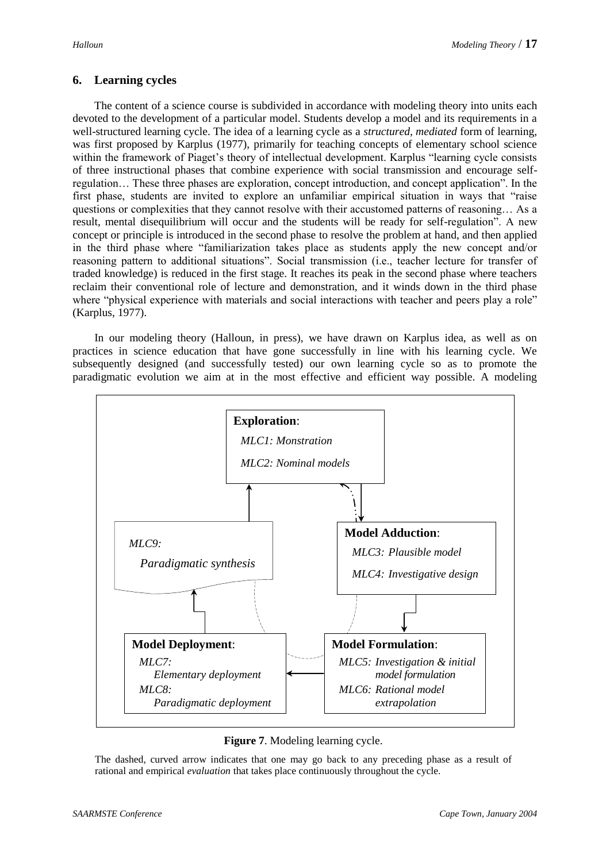# **6. Learning cycles**

The content of a science course is subdivided in accordance with modeling theory into units each devoted to the development of a particular model. Students develop a model and its requirements in a well-structured learning cycle. The idea of a learning cycle as a *structured, mediated* form of learning, was first proposed by Karplus (1977), primarily for teaching concepts of elementary school science within the framework of Piaget's theory of intellectual development. Karplus "learning cycle consists of three instructional phases that combine experience with social transmission and encourage selfregulation… These three phases are exploration, concept introduction, and concept application". In the first phase, students are invited to explore an unfamiliar empirical situation in ways that "raise questions or complexities that they cannot resolve with their accustomed patterns of reasoning… As a result, mental disequilibrium will occur and the students will be ready for self-regulation". A new concept or principle is introduced in the second phase to resolve the problem at hand, and then applied in the third phase where "familiarization takes place as students apply the new concept and/or reasoning pattern to additional situations". Social transmission (i.e., teacher lecture for transfer of traded knowledge) is reduced in the first stage. It reaches its peak in the second phase where teachers reclaim their conventional role of lecture and demonstration, and it winds down in the third phase where "physical experience with materials and social interactions with teacher and peers play a role" (Karplus, 1977).

In our modeling theory (Halloun, in press), we have drawn on Karplus idea, as well as on practices in science education that have gone successfully in line with his learning cycle. We subsequently designed (and successfully tested) our own learning cycle so as to promote the paradigmatic evolution we aim at in the most effective and efficient way possible. A modeling



**Figure 7**. Modeling learning cycle.

The dashed, curved arrow indicates that one may go back to any preceding phase as a result of rational and empirical *evaluation* that takes place continuously throughout the cycle.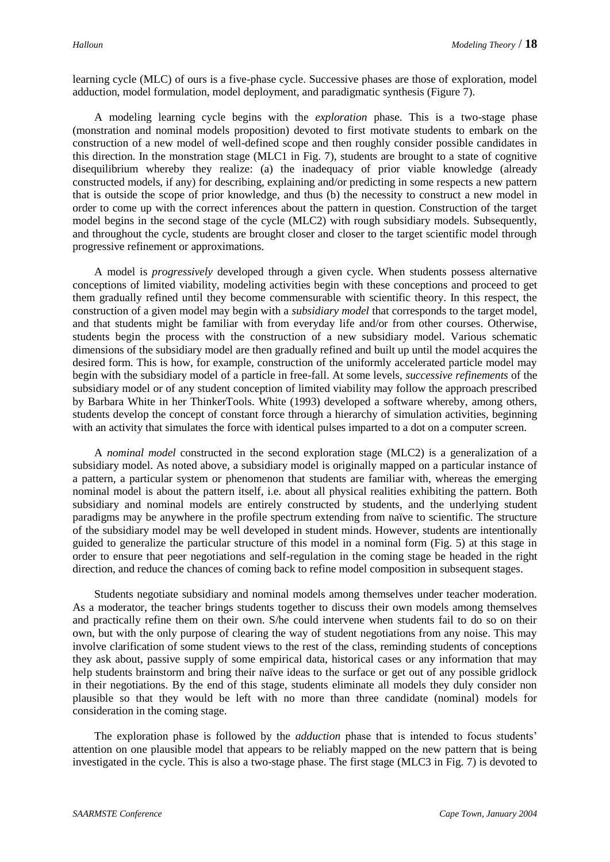learning cycle (MLC) of ours is a five-phase cycle. Successive phases are those of exploration, model adduction, model formulation, model deployment, and paradigmatic synthesis (Figure 7).

A modeling learning cycle begins with the *exploration* phase. This is a two-stage phase (monstration and nominal models proposition) devoted to first motivate students to embark on the construction of a new model of well-defined scope and then roughly consider possible candidates in this direction. In the monstration stage (MLC1 in Fig. 7), students are brought to a state of cognitive disequilibrium whereby they realize: (a) the inadequacy of prior viable knowledge (already constructed models, if any) for describing, explaining and/or predicting in some respects a new pattern that is outside the scope of prior knowledge, and thus (b) the necessity to construct a new model in order to come up with the correct inferences about the pattern in question. Construction of the target model begins in the second stage of the cycle (MLC2) with rough subsidiary models. Subsequently, and throughout the cycle, students are brought closer and closer to the target scientific model through progressive refinement or approximations.

A model is *progressively* developed through a given cycle. When students possess alternative conceptions of limited viability, modeling activities begin with these conceptions and proceed to get them gradually refined until they become commensurable with scientific theory. In this respect, the construction of a given model may begin with a *subsidiary model* that corresponds to the target model, and that students might be familiar with from everyday life and/or from other courses. Otherwise, students begin the process with the construction of a new subsidiary model. Various schematic dimensions of the subsidiary model are then gradually refined and built up until the model acquires the desired form. This is how, for example, construction of the uniformly accelerated particle model may begin with the subsidiary model of a particle in free-fall. At some levels, *successive refinements* of the subsidiary model or of any student conception of limited viability may follow the approach prescribed by Barbara White in her ThinkerTools. White (1993) developed a software whereby, among others, students develop the concept of constant force through a hierarchy of simulation activities, beginning with an activity that simulates the force with identical pulses imparted to a dot on a computer screen.

A *nominal model* constructed in the second exploration stage (MLC2) is a generalization of a subsidiary model. As noted above, a subsidiary model is originally mapped on a particular instance of a pattern, a particular system or phenomenon that students are familiar with, whereas the emerging nominal model is about the pattern itself, i.e. about all physical realities exhibiting the pattern. Both subsidiary and nominal models are entirely constructed by students, and the underlying student paradigms may be anywhere in the profile spectrum extending from naïve to scientific. The structure of the subsidiary model may be well developed in student minds. However, students are intentionally guided to generalize the particular structure of this model in a nominal form (Fig. 5) at this stage in order to ensure that peer negotiations and self-regulation in the coming stage be headed in the right direction, and reduce the chances of coming back to refine model composition in subsequent stages.

Students negotiate subsidiary and nominal models among themselves under teacher moderation. As a moderator, the teacher brings students together to discuss their own models among themselves and practically refine them on their own. S/he could intervene when students fail to do so on their own, but with the only purpose of clearing the way of student negotiations from any noise. This may involve clarification of some student views to the rest of the class, reminding students of conceptions they ask about, passive supply of some empirical data, historical cases or any information that may help students brainstorm and bring their naïve ideas to the surface or get out of any possible gridlock in their negotiations. By the end of this stage, students eliminate all models they duly consider non plausible so that they would be left with no more than three candidate (nominal) models for consideration in the coming stage.

The exploration phase is followed by the *adduction* phase that is intended to focus students' attention on one plausible model that appears to be reliably mapped on the new pattern that is being investigated in the cycle. This is also a two-stage phase. The first stage (MLC3 in Fig. 7) is devoted to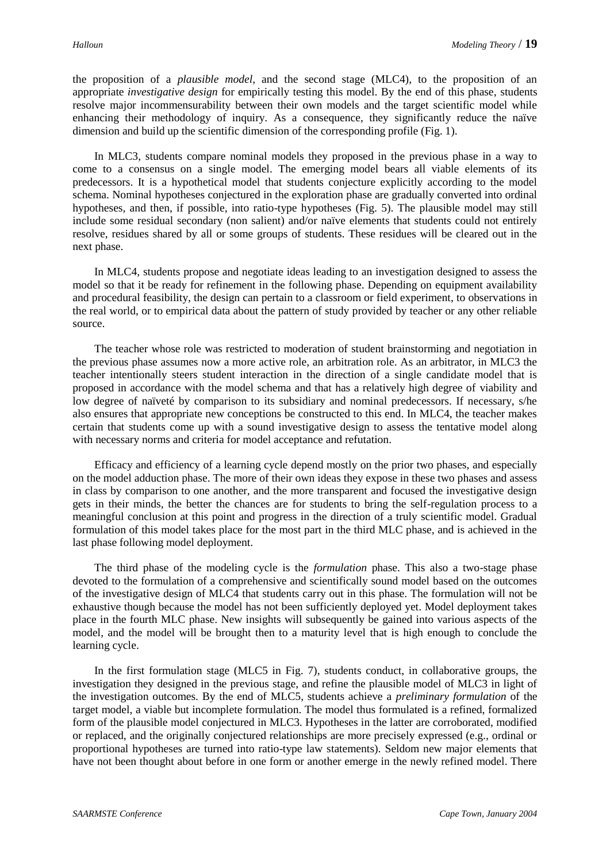the proposition of a *plausible model*, and the second stage (MLC4), to the proposition of an appropriate *investigative design* for empirically testing this model. By the end of this phase, students resolve major incommensurability between their own models and the target scientific model while enhancing their methodology of inquiry. As a consequence, they significantly reduce the naïve dimension and build up the scientific dimension of the corresponding profile (Fig. 1).

In MLC3, students compare nominal models they proposed in the previous phase in a way to come to a consensus on a single model. The emerging model bears all viable elements of its predecessors. It is a hypothetical model that students conjecture explicitly according to the model schema. Nominal hypotheses conjectured in the exploration phase are gradually converted into ordinal hypotheses, and then, if possible, into ratio-type hypotheses (Fig. 5). The plausible model may still include some residual secondary (non salient) and/or naïve elements that students could not entirely resolve, residues shared by all or some groups of students. These residues will be cleared out in the next phase.

In MLC4, students propose and negotiate ideas leading to an investigation designed to assess the model so that it be ready for refinement in the following phase. Depending on equipment availability and procedural feasibility, the design can pertain to a classroom or field experiment, to observations in the real world, or to empirical data about the pattern of study provided by teacher or any other reliable source.

The teacher whose role was restricted to moderation of student brainstorming and negotiation in the previous phase assumes now a more active role, an arbitration role. As an arbitrator, in MLC3 the teacher intentionally steers student interaction in the direction of a single candidate model that is proposed in accordance with the model schema and that has a relatively high degree of viability and low degree of naïveté by comparison to its subsidiary and nominal predecessors. If necessary, s/he also ensures that appropriate new conceptions be constructed to this end. In MLC4, the teacher makes certain that students come up with a sound investigative design to assess the tentative model along with necessary norms and criteria for model acceptance and refutation.

Efficacy and efficiency of a learning cycle depend mostly on the prior two phases, and especially on the model adduction phase. The more of their own ideas they expose in these two phases and assess in class by comparison to one another, and the more transparent and focused the investigative design gets in their minds, the better the chances are for students to bring the self-regulation process to a meaningful conclusion at this point and progress in the direction of a truly scientific model. Gradual formulation of this model takes place for the most part in the third MLC phase, and is achieved in the last phase following model deployment.

The third phase of the modeling cycle is the *formulation* phase. This also a two-stage phase devoted to the formulation of a comprehensive and scientifically sound model based on the outcomes of the investigative design of MLC4 that students carry out in this phase. The formulation will not be exhaustive though because the model has not been sufficiently deployed yet. Model deployment takes place in the fourth MLC phase. New insights will subsequently be gained into various aspects of the model, and the model will be brought then to a maturity level that is high enough to conclude the learning cycle.

In the first formulation stage (MLC5 in Fig. 7), students conduct, in collaborative groups, the investigation they designed in the previous stage, and refine the plausible model of MLC3 in light of the investigation outcomes. By the end of MLC5, students achieve a *preliminary formulation* of the target model, a viable but incomplete formulation. The model thus formulated is a refined, formalized form of the plausible model conjectured in MLC3. Hypotheses in the latter are corroborated, modified or replaced, and the originally conjectured relationships are more precisely expressed (e.g., ordinal or proportional hypotheses are turned into ratio-type law statements). Seldom new major elements that have not been thought about before in one form or another emerge in the newly refined model. There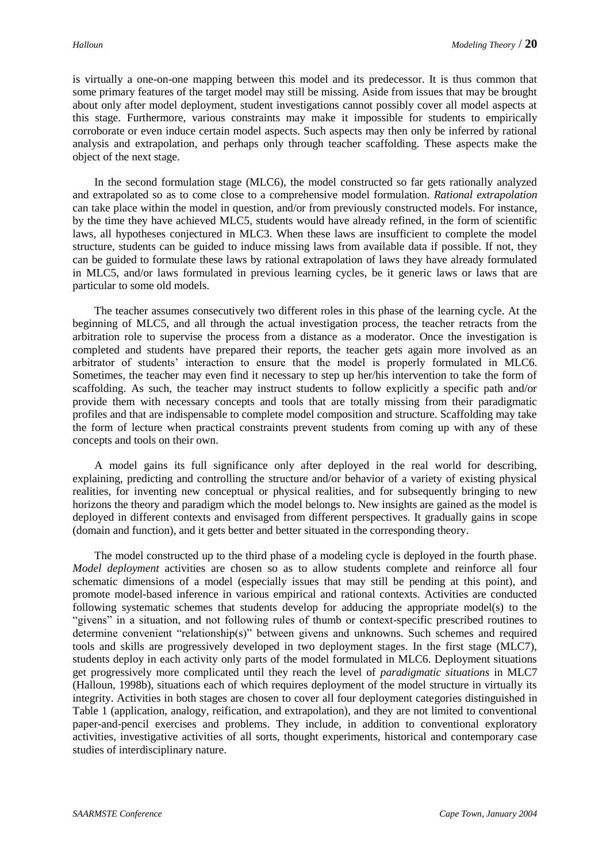is virtually a one-on-one mapping between this model and its predecessor. It is thus common that some primary features of the target model may still be missing. Aside from issues that may be brought about only after model deployment, student investigations cannot possibly cover all model aspects at this stage. Furthermore, various constraints may make it impossible for students to empirically corroborate or even induce certain model aspects. Such aspects may then only be inferred by rational analysis and extrapolation, and perhaps only through teacher scaffolding. These aspects make the object of the next stage.

In the second formulation stage (MLC6), the model constructed so far gets rationally analyzed and extrapolated so as to come close to a comprehensive model formulation. *Rational extrapolation* can take place within the model in question, and/or from previously constructed models. For instance, by the time they have achieved MLC5, students would have already refined, in the form of scientific laws, all hypotheses conjectured in MLC3. When these laws are insufficient to complete the model structure, students can be guided to induce missing laws from available data if possible. If not, they can be guided to formulate these laws by rational extrapolation of laws they have already formulated in MLC5, and/or laws formulated in previous learning cycles, be it generic laws or laws that are particular to some old models.

The teacher assumes consecutively two different roles in this phase of the learning cycle. At the beginning of MLC5, and all through the actual investigation process, the teacher retracts from the arbitration role to supervise the process from a distance as a moderator. Once the investigation is completed and students have prepared their reports, the teacher gets again more involved as an arbitrator of students' interaction to ensure that the model is properly formulated in MLC6. Sometimes, the teacher may even find it necessary to step up her/his intervention to take the form of scaffolding. As such, the teacher may instruct students to follow explicitly a specific path and/or provide them with necessary concepts and tools that are totally missing from their paradigmatic profiles and that are indispensable to complete model composition and structure. Scaffolding may take the form of lecture when practical constraints prevent students from coming up with any of these concepts and tools on their own.

A model gains its full significance only after deployed in the real world for describing, explaining, predicting and controlling the structure and/or behavior of a variety of existing physical realities, for inventing new conceptual or physical realities, and for subsequently bringing to new horizons the theory and paradigm which the model belongs to. New insights are gained as the model is deployed in different contexts and envisaged from different perspectives. It gradually gains in scope (domain and function), and it gets better and better situated in the corresponding theory.

The model constructed up to the third phase of a modeling cycle is deployed in the fourth phase. *Model deployment* activities are chosen so as to allow students complete and reinforce all four schematic dimensions of a model (especially issues that may still be pending at this point), and promote model-based inference in various empirical and rational contexts. Activities are conducted following systematic schemes that students develop for adducing the appropriate model(s) to the "givens" in a situation, and not following rules of thumb or context-specific prescribed routines to determine convenient "relationship(s)" between givens and unknowns. Such schemes and required tools and skills are progressively developed in two deployment stages. In the first stage (MLC7), students deploy in each activity only parts of the model formulated in MLC6. Deployment situations get progressively more complicated until they reach the level of *paradigmatic situations* in MLC7 (Halloun, 1998b), situations each of which requires deployment of the model structure in virtually its integrity. Activities in both stages are chosen to cover all four deployment categories distinguished in Table 1 (application, analogy, reification, and extrapolation), and they are not limited to conventional paper-and-pencil exercises and problems. They include, in addition to conventional exploratory activities, investigative activities of all sorts, thought experiments, historical and contemporary case studies of interdisciplinary nature.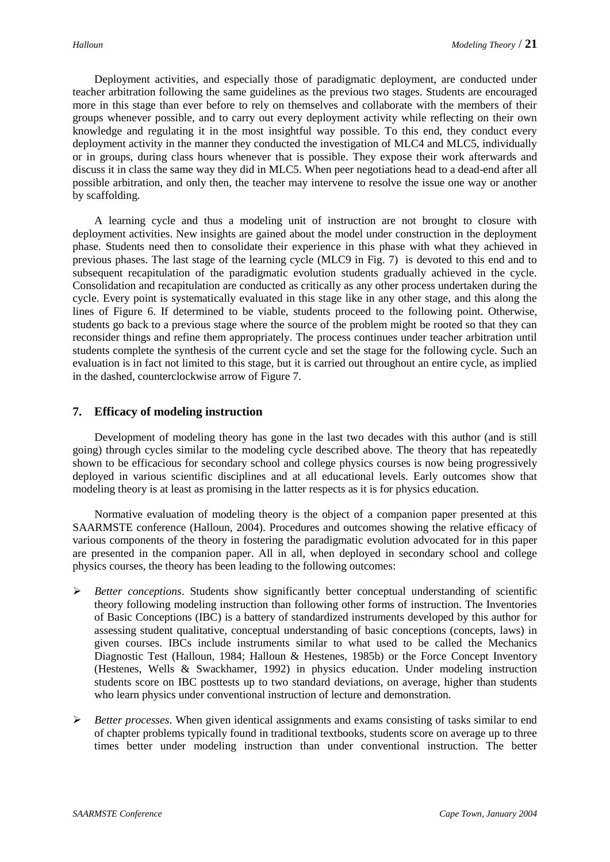Deployment activities, and especially those of paradigmatic deployment, are conducted under teacher arbitration following the same guidelines as the previous two stages. Students are encouraged more in this stage than ever before to rely on themselves and collaborate with the members of their groups whenever possible, and to carry out every deployment activity while reflecting on their own knowledge and regulating it in the most insightful way possible. To this end, they conduct every deployment activity in the manner they conducted the investigation of MLC4 and MLC5, individually or in groups, during class hours whenever that is possible. They expose their work afterwards and discuss it in class the same way they did in MLC5. When peer negotiations head to a dead-end after all possible arbitration, and only then, the teacher may intervene to resolve the issue one way or another by scaffolding.

A learning cycle and thus a modeling unit of instruction are not brought to closure with deployment activities. New insights are gained about the model under construction in the deployment phase. Students need then to consolidate their experience in this phase with what they achieved in previous phases. The last stage of the learning cycle (MLC9 in Fig. 7) is devoted to this end and to subsequent recapitulation of the paradigmatic evolution students gradually achieved in the cycle. Consolidation and recapitulation are conducted as critically as any other process undertaken during the cycle. Every point is systematically evaluated in this stage like in any other stage, and this along the lines of Figure 6. If determined to be viable, students proceed to the following point. Otherwise, students go back to a previous stage where the source of the problem might be rooted so that they can reconsider things and refine them appropriately. The process continues under teacher arbitration until students complete the synthesis of the current cycle and set the stage for the following cycle. Such an evaluation is in fact not limited to this stage, but it is carried out throughout an entire cycle, as implied in the dashed, counterclockwise arrow of Figure 7.

### **7. Efficacy of modeling instruction**

Development of modeling theory has gone in the last two decades with this author (and is still going) through cycles similar to the modeling cycle described above. The theory that has repeatedly shown to be efficacious for secondary school and college physics courses is now being progressively deployed in various scientific disciplines and at all educational levels. Early outcomes show that modeling theory is at least as promising in the latter respects as it is for physics education.

Normative evaluation of modeling theory is the object of a companion paper presented at this SAARMSTE conference (Halloun, 2004). Procedures and outcomes showing the relative efficacy of various components of the theory in fostering the paradigmatic evolution advocated for in this paper are presented in the companion paper. All in all, when deployed in secondary school and college physics courses, the theory has been leading to the following outcomes:

- *Better conceptions*. Students show significantly better conceptual understanding of scientific theory following modeling instruction than following other forms of instruction. The Inventories of Basic Conceptions (IBC) is a battery of standardized instruments developed by this author for assessing student qualitative, conceptual understanding of basic conceptions (concepts, laws) in given courses. IBCs include instruments similar to what used to be called the Mechanics Diagnostic Test (Halloun, 1984; Halloun & Hestenes, 1985b) or the Force Concept Inventory (Hestenes, Wells & Swackhamer, 1992) in physics education. Under modeling instruction students score on IBC posttests up to two standard deviations, on average, higher than students who learn physics under conventional instruction of lecture and demonstration.
- *Better processes*. When given identical assignments and exams consisting of tasks similar to end of chapter problems typically found in traditional textbooks, students score on average up to three times better under modeling instruction than under conventional instruction. The better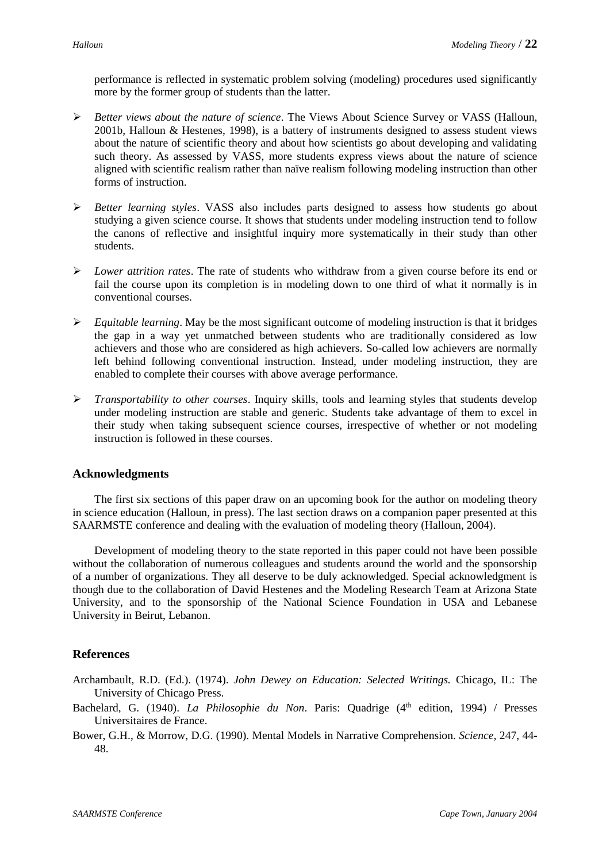performance is reflected in systematic problem solving (modeling) procedures used significantly more by the former group of students than the latter.

- *Better views about the nature of science*. The Views About Science Survey or VASS (Halloun, 2001b, Halloun & Hestenes, 1998), is a battery of instruments designed to assess student views about the nature of scientific theory and about how scientists go about developing and validating such theory. As assessed by VASS, more students express views about the nature of science aligned with scientific realism rather than naïve realism following modeling instruction than other forms of instruction.
- *Better learning styles*. VASS also includes parts designed to assess how students go about studying a given science course. It shows that students under modeling instruction tend to follow the canons of reflective and insightful inquiry more systematically in their study than other students.
- *Lower attrition rates*. The rate of students who withdraw from a given course before its end or fail the course upon its completion is in modeling down to one third of what it normally is in conventional courses.
- *Equitable learning*. May be the most significant outcome of modeling instruction is that it bridges the gap in a way yet unmatched between students who are traditionally considered as low achievers and those who are considered as high achievers. So-called low achievers are normally left behind following conventional instruction. Instead, under modeling instruction, they are enabled to complete their courses with above average performance.
- *Transportability to other courses*. Inquiry skills, tools and learning styles that students develop under modeling instruction are stable and generic. Students take advantage of them to excel in their study when taking subsequent science courses, irrespective of whether or not modeling instruction is followed in these courses.

#### **Acknowledgments**

The first six sections of this paper draw on an upcoming book for the author on modeling theory in science education (Halloun, in press). The last section draws on a companion paper presented at this SAARMSTE conference and dealing with the evaluation of modeling theory (Halloun, 2004).

Development of modeling theory to the state reported in this paper could not have been possible without the collaboration of numerous colleagues and students around the world and the sponsorship of a number of organizations. They all deserve to be duly acknowledged. Special acknowledgment is though due to the collaboration of David Hestenes and the Modeling Research Team at Arizona State University, and to the sponsorship of the National Science Foundation in USA and Lebanese University in Beirut, Lebanon.

## **References**

Archambault, R.D. (Ed.). (1974). *John Dewey on Education: Selected Writings.* Chicago, IL: The University of Chicago Press.

- Bachelard, G. (1940). *La Philosophie du Non*. Paris: Quadrige (4<sup>th</sup> edition, 1994) / Presses Universitaires de France.
- Bower, G.H., & Morrow, D.G. (1990). Mental Models in Narrative Comprehension. *Science,* 247, 44- 48.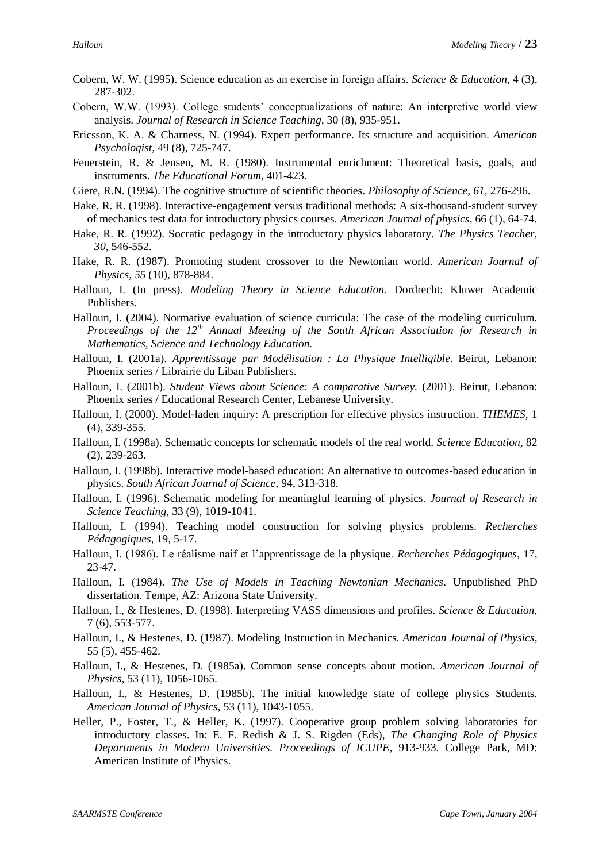- Cobern, W. W. (1995). Science education as an exercise in foreign affairs. *Science & Education,* 4 (3), 287-302.
- Cobern, W.W. (1993). College students' conceptualizations of nature: An interpretive world view analysis. *Journal of Research in Science Teaching,* 30 (8), 935-951.
- Ericsson, K. A. & Charness, N. (1994). Expert performance. Its structure and acquisition. *American Psychologist,* 49 (8), 725-747.
- Feuerstein, R. & Jensen, M. R. (1980). Instrumental enrichment: Theoretical basis, goals, and instruments. *The Educational Forum*, 401-423.
- Giere, R.N. (1994). The cognitive structure of scientific theories. *Philosophy of Science, 61,* 276-296.
- Hake, R. R. (1998). Interactive-engagement versus traditional methods: A six-thousand-student survey of mechanics test data for introductory physics courses. *American Journal of physics*, 66 (1), 64-74.
- Hake, R. R. (1992). Socratic pedagogy in the introductory physics laboratory. *The Physics Teacher, 30,* 546-552.
- Hake, R. R. (1987). Promoting student crossover to the Newtonian world. *American Journal of Physics, 55* (10), 878-884.
- Halloun, I. (In press). *Modeling Theory in Science Education.* Dordrecht: Kluwer Academic Publishers.
- Halloun, I. (2004). Normative evaluation of science curricula: The case of the modeling curriculum. *Proceedings of the 12th Annual Meeting of the South African Association for Research in Mathematics, Science and Technology Education.*
- Halloun, I. (2001a). *Apprentissage par Modélisation : La Physique Intelligible.* Beirut, Lebanon: Phoenix series / Librairie du Liban Publishers.
- Halloun, I. (2001b). *Student Views about Science: A comparative Survey.* (2001). Beirut, Lebanon: Phoenix series / Educational Research Center, Lebanese University.
- Halloun, I. (2000). Model-laden inquiry: A prescription for effective physics instruction. *THEMES,* 1 (4), 339-355.
- Halloun, I. (1998a). Schematic concepts for schematic models of the real world. *Science Education,* 82 (2), 239-263.
- Halloun, I. (1998b). Interactive model-based education: An alternative to outcomes-based education in physics. *South African Journal of Science,* 94*,* 313-318.
- Halloun, I. (1996). Schematic modeling for meaningful learning of physics. *Journal of Research in Science Teaching,* 33 (9), 1019-1041.
- Halloun, I. (1994). Teaching model construction for solving physics problems. *Recherches Pédagogiques,* 19*,* 5-17.
- Halloun, I. (1986). Le réalisme naif et l'apprentissage de la physique. *Recherches Pédagogiques*, 17, 23-47.
- Halloun, I. (1984). *The Use of Models in Teaching Newtonian Mechanics*. Unpublished PhD dissertation. Tempe, AZ: Arizona State University.
- Halloun, I., & Hestenes, D. (1998). Interpreting VASS dimensions and profiles. *Science & Education*, 7 (6), 553-577.
- Halloun, I., & Hestenes, D. (1987). Modeling Instruction in Mechanics. *American Journal of Physics*, 55 (5), 455-462.
- Halloun, I., & Hestenes, D. (1985a). Common sense concepts about motion. *American Journal of Physics*, 53 (11), 1056-1065.
- Halloun, I., & Hestenes, D. (1985b). The initial knowledge state of college physics Students. *American Journal of Physics*, 53 (11), 1043-1055.
- Heller, P., Foster, T., & Heller, K. (1997). Cooperative group problem solving laboratories for introductory classes. In: E. F. Redish & J. S. Rigden (Eds), *The Changing Role of Physics Departments in Modern Universities. Proceedings of ICUPE*, 913-933. College Park, MD: American Institute of Physics.